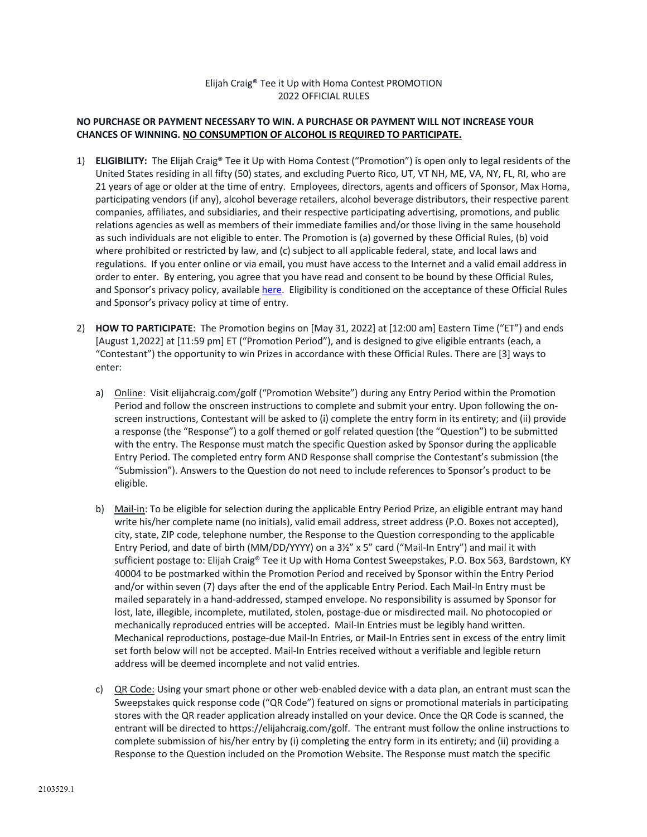## Elijah Craig® Tee it Up with Homa Contest PROMOTION 2022 OFFICIAL RULES

## **NO PURCHASE OR PAYMENT NECESSARY TO WIN. A PURCHASE OR PAYMENT WILL NOT INCREASE YOUR CHANCES OF WINNING. NO CONSUMPTION OF ALCOHOL IS REQUIRED TO PARTICIPATE.**

- 1) **ELIGIBILITY:** The Elijah Craig® Tee it Up with Homa Contest ("Promotion") is open only to legal residents of the United States residing in all fifty (50) states, and excluding Puerto Rico, UT, VT NH, ME, VA, NY, FL, RI, who are 21 years of age or older at the time of entry. Employees, directors, agents and officers of Sponsor, Max Homa, participating vendors (if any), alcohol beverage retailers, alcohol beverage distributors, their respective parent companies, affiliates, and subsidiaries, and their respective participating advertising, promotions, and public relations agencies as well as members of their immediate families and/or those living in the same household as such individuals are not eligible to enter. The Promotion is (a) governed by these Official Rules, (b) void where prohibited or restricted by law, and (c) subject to all applicable federal, state, and local laws and regulations. If you enter online or via email, you must have access to the Internet and a valid email address in order to enter. By entering, you agree that you have read and consent to be bound by these Official Rules, and Sponsor's privacy policy, available here. Eligibility is conditioned on the acceptance of these Official Rules and Sponsor's privacy policy at time of entry.
- 2) **HOW TO PARTICIPATE**: The Promotion begins on [May 31, 2022] at [12:00 am] Eastern Time ("ET") and ends [August 1,2022] at [11:59 pm] ET ("Promotion Period"), and is designed to give eligible entrants (each, a "Contestant") the opportunity to win Prizes in accordance with these Official Rules. There are [3] ways to enter:
	- a) Online: Visit elijahcraig.com/golf ("Promotion Website") during any Entry Period within the Promotion Period and follow the onscreen instructions to complete and submit your entry. Upon following the onscreen instructions, Contestant will be asked to (i) complete the entry form in its entirety; and (ii) provide a response (the "Response") to a golf themed or golf related question (the "Question") to be submitted with the entry. The Response must match the specific Question asked by Sponsor during the applicable Entry Period. The completed entry form AND Response shall comprise the Contestant's submission (the "Submission"). Answers to the Question do not need to include references to Sponsor's product to be eligible.
	- b) Mail-in: To be eligible for selection during the applicable Entry Period Prize, an eligible entrant may hand write his/her complete name (no initials), valid email address, street address (P.O. Boxes not accepted), city, state, ZIP code, telephone number, the Response to the Question corresponding to the applicable Entry Period, and date of birth (MM/DD/YYYY) on a 3½" x 5" card ("Mail-In Entry") and mail it with sufficient postage to: Elijah Craig® Tee it Up with Homa Contest Sweepstakes, P.O. Box 563, Bardstown, KY 40004 to be postmarked within the Promotion Period and received by Sponsor within the Entry Period and/or within seven (7) days after the end of the applicable Entry Period. Each Mail-In Entry must be mailed separately in a hand-addressed, stamped envelope. No responsibility is assumed by Sponsor for lost, late, illegible, incomplete, mutilated, stolen, postage-due or misdirected mail. No photocopied or mechanically reproduced entries will be accepted. Mail-In Entries must be legibly hand written. Mechanical reproductions, postage-due Mail-In Entries, or Mail-In Entries sent in excess of the entry limit set forth below will not be accepted. Mail-In Entries received without a verifiable and legible return address will be deemed incomplete and not valid entries.
	- c) QR Code: Using your smart phone or other web-enabled device with a data plan, an entrant must scan the Sweepstakes quick response code ("QR Code") featured on signs or promotional materials in participating stores with the QR reader application already installed on your device. Once the QR Code is scanned, the entrant will be directed to https://elijahcraig.com/golf. The entrant must follow the online instructions to complete submission of his/her entry by (i) completing the entry form in its entirety; and (ii) providing a Response to the Question included on the Promotion Website. The Response must match the specific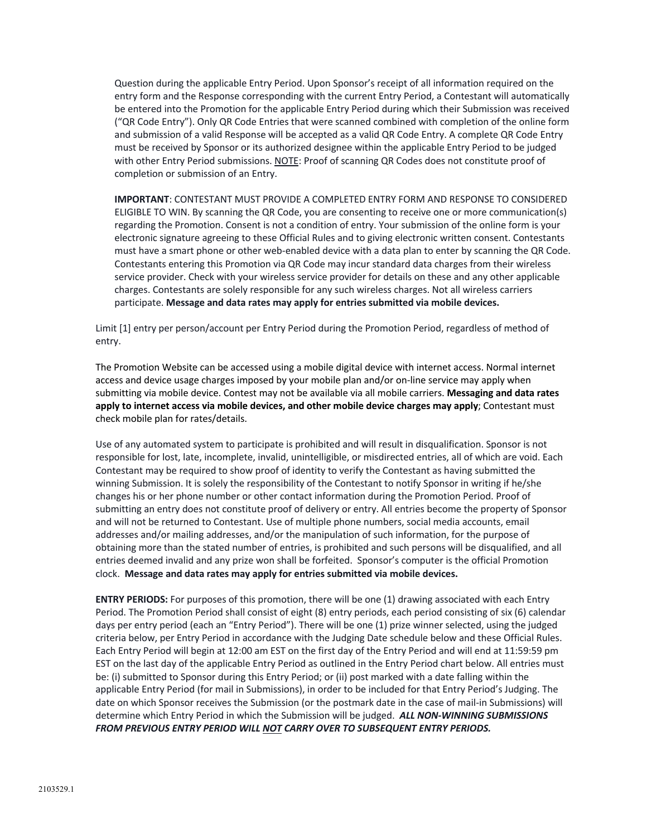Question during the applicable Entry Period. Upon Sponsor's receipt of all information required on the entry form and the Response corresponding with the current Entry Period, a Contestant will automatically be entered into the Promotion for the applicable Entry Period during which their Submission was received ("QR Code Entry"). Only QR Code Entries that were scanned combined with completion of the online form and submission of a valid Response will be accepted as a valid QR Code Entry. A complete QR Code Entry must be received by Sponsor or its authorized designee within the applicable Entry Period to be judged with other Entry Period submissions. NOTE: Proof of scanning QR Codes does not constitute proof of completion or submission of an Entry.

**IMPORTANT**: CONTESTANT MUST PROVIDE A COMPLETED ENTRY FORM AND RESPONSE TO CONSIDERED ELIGIBLE TO WIN. By scanning the QR Code, you are consenting to receive one or more communication(s) regarding the Promotion. Consent is not a condition of entry. Your submission of the online form is your electronic signature agreeing to these Official Rules and to giving electronic written consent. Contestants must have a smart phone or other web-enabled device with a data plan to enter by scanning the QR Code. Contestants entering this Promotion via QR Code may incur standard data charges from their wireless service provider. Check with your wireless service provider for details on these and any other applicable charges. Contestants are solely responsible for any such wireless charges. Not all wireless carriers participate. **Message and data rates may apply for entries submitted via mobile devices.**

Limit [1] entry per person/account per Entry Period during the Promotion Period, regardless of method of entry.

The Promotion Website can be accessed using a mobile digital device with internet access. Normal internet access and device usage charges imposed by your mobile plan and/or on-line service may apply when submitting via mobile device. Contest may not be available via all mobile carriers. **Messaging and data rates apply to internet access via mobile devices, and other mobile device charges may apply**; Contestant must check mobile plan for rates/details.

Use of any automated system to participate is prohibited and will result in disqualification. Sponsor is not responsible for lost, late, incomplete, invalid, unintelligible, or misdirected entries, all of which are void. Each Contestant may be required to show proof of identity to verify the Contestant as having submitted the winning Submission. It is solely the responsibility of the Contestant to notify Sponsor in writing if he/she changes his or her phone number or other contact information during the Promotion Period. Proof of submitting an entry does not constitute proof of delivery or entry. All entries become the property of Sponsor and will not be returned to Contestant. Use of multiple phone numbers, social media accounts, email addresses and/or mailing addresses, and/or the manipulation of such information, for the purpose of obtaining more than the stated number of entries, is prohibited and such persons will be disqualified, and all entries deemed invalid and any prize won shall be forfeited. Sponsor's computer is the official Promotion clock. **Message and data rates may apply for entries submitted via mobile devices.**

**ENTRY PERIODS:** For purposes of this promotion, there will be one (1) drawing associated with each Entry Period. The Promotion Period shall consist of eight (8) entry periods, each period consisting of six (6) calendar days per entry period (each an "Entry Period"). There will be one (1) prize winner selected, using the judged criteria below, per Entry Period in accordance with the Judging Date schedule below and these Official Rules. Each Entry Period will begin at 12:00 am EST on the first day of the Entry Period and will end at 11:59:59 pm EST on the last day of the applicable Entry Period as outlined in the Entry Period chart below. All entries must be: (i) submitted to Sponsor during this Entry Period; or (ii) post marked with a date falling within the applicable Entry Period (for mail in Submissions), in order to be included for that Entry Period's Judging. The date on which Sponsor receives the Submission (or the postmark date in the case of mail-in Submissions) will determine which Entry Period in which the Submission will be judged. *ALL NON-WINNING SUBMISSIONS FROM PREVIOUS ENTRY PERIOD WILL NOT CARRY OVER TO SUBSEQUENT ENTRY PERIODS.*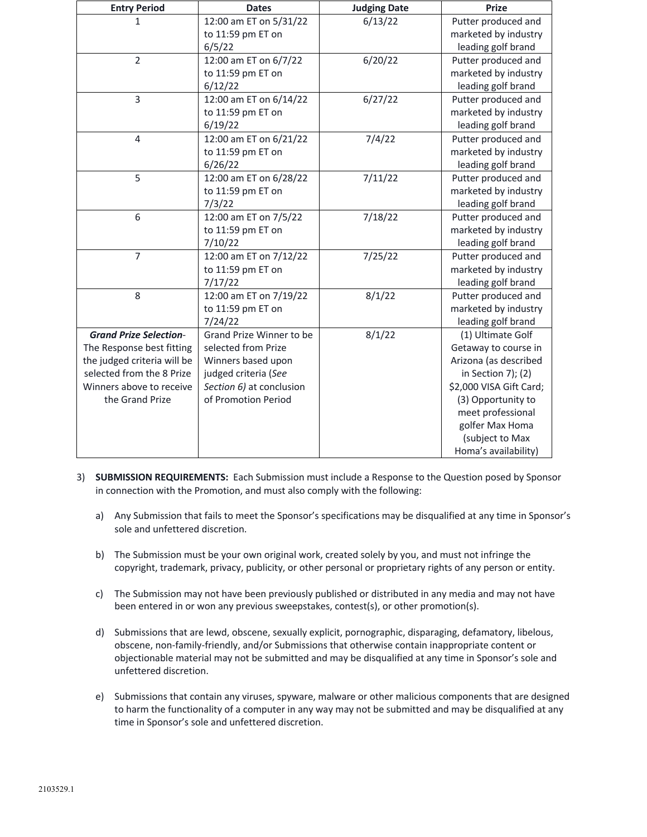| <b>Entry Period</b>           | <b>Dates</b>             | <b>Judging Date</b> | <b>Prize</b>            |
|-------------------------------|--------------------------|---------------------|-------------------------|
| 1                             | 12:00 am ET on 5/31/22   | 6/13/22             | Putter produced and     |
|                               | to 11:59 pm ET on        |                     | marketed by industry    |
|                               | 6/5/22                   |                     | leading golf brand      |
| $\overline{2}$                | 12:00 am ET on 6/7/22    | 6/20/22             | Putter produced and     |
|                               | to 11:59 pm ET on        |                     | marketed by industry    |
|                               | 6/12/22                  |                     | leading golf brand      |
| 3                             | 12:00 am ET on 6/14/22   | 6/27/22             | Putter produced and     |
|                               | to 11:59 pm ET on        |                     | marketed by industry    |
|                               | 6/19/22                  |                     | leading golf brand      |
| $\overline{4}$                | 12:00 am ET on 6/21/22   | 7/4/22              | Putter produced and     |
|                               | to 11:59 pm ET on        |                     | marketed by industry    |
|                               | 6/26/22                  |                     | leading golf brand      |
| 5                             | 12:00 am ET on 6/28/22   | 7/11/22             | Putter produced and     |
|                               | to 11:59 pm ET on        |                     | marketed by industry    |
|                               | 7/3/22                   |                     | leading golf brand      |
| 6                             | 12:00 am ET on 7/5/22    | 7/18/22             | Putter produced and     |
|                               | to 11:59 pm ET on        |                     | marketed by industry    |
|                               | 7/10/22                  |                     | leading golf brand      |
| $\overline{7}$                | 12:00 am ET on 7/12/22   | 7/25/22             | Putter produced and     |
|                               | to 11:59 pm ET on        |                     | marketed by industry    |
|                               | 7/17/22                  |                     | leading golf brand      |
| 8                             | 12:00 am ET on 7/19/22   | 8/1/22              | Putter produced and     |
|                               | to 11:59 pm ET on        |                     | marketed by industry    |
|                               | 7/24/22                  |                     | leading golf brand      |
| <b>Grand Prize Selection-</b> | Grand Prize Winner to be | 8/1/22              | (1) Ultimate Golf       |
| The Response best fitting     | selected from Prize      |                     | Getaway to course in    |
| the judged criteria will be   | Winners based upon       |                     | Arizona (as described   |
| selected from the 8 Prize     | judged criteria (See     |                     | in Section 7); (2)      |
| Winners above to receive      | Section 6) at conclusion |                     | \$2,000 VISA Gift Card; |
| the Grand Prize               | of Promotion Period      |                     | (3) Opportunity to      |
|                               |                          |                     | meet professional       |
|                               |                          |                     | golfer Max Homa         |
|                               |                          |                     | (subject to Max         |
|                               |                          |                     | Homa's availability)    |

- 3) **SUBMISSION REQUIREMENTS:** Each Submission must include a Response to the Question posed by Sponsor in connection with the Promotion, and must also comply with the following:
	- a) Any Submission that fails to meet the Sponsor's specifications may be disqualified at any time in Sponsor's sole and unfettered discretion.
	- b) The Submission must be your own original work, created solely by you, and must not infringe the copyright, trademark, privacy, publicity, or other personal or proprietary rights of any person or entity.
	- c) The Submission may not have been previously published or distributed in any media and may not have been entered in or won any previous sweepstakes, contest(s), or other promotion(s).
	- d) Submissions that are lewd, obscene, sexually explicit, pornographic, disparaging, defamatory, libelous, obscene, non-family-friendly, and/or Submissions that otherwise contain inappropriate content or objectionable material may not be submitted and may be disqualified at any time in Sponsor's sole and unfettered discretion.
	- e) Submissions that contain any viruses, spyware, malware or other malicious components that are designed to harm the functionality of a computer in any way may not be submitted and may be disqualified at any time in Sponsor's sole and unfettered discretion.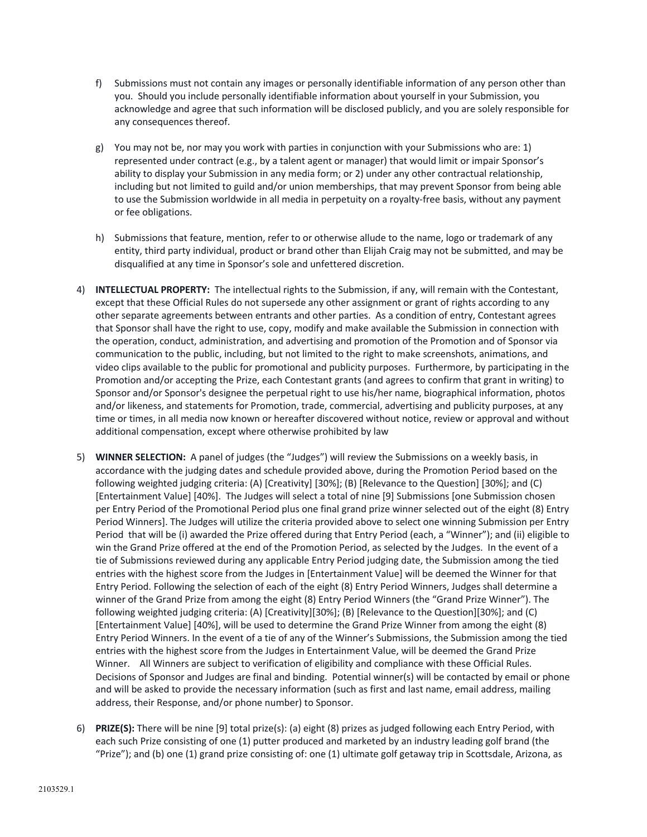- f) Submissions must not contain any images or personally identifiable information of any person other than you. Should you include personally identifiable information about yourself in your Submission, you acknowledge and agree that such information will be disclosed publicly, and you are solely responsible for any consequences thereof.
- g) You may not be, nor may you work with parties in conjunction with your Submissions who are: 1) represented under contract (e.g., by a talent agent or manager) that would limit or impair Sponsor's ability to display your Submission in any media form; or 2) under any other contractual relationship, including but not limited to guild and/or union memberships, that may prevent Sponsor from being able to use the Submission worldwide in all media in perpetuity on a royalty-free basis, without any payment or fee obligations.
- h) Submissions that feature, mention, refer to or otherwise allude to the name, logo or trademark of any entity, third party individual, product or brand other than Elijah Craig may not be submitted, and may be disqualified at any time in Sponsor's sole and unfettered discretion.
- 4) **INTELLECTUAL PROPERTY:** The intellectual rights to the Submission, if any, will remain with the Contestant, except that these Official Rules do not supersede any other assignment or grant of rights according to any other separate agreements between entrants and other parties. As a condition of entry, Contestant agrees that Sponsor shall have the right to use, copy, modify and make available the Submission in connection with the operation, conduct, administration, and advertising and promotion of the Promotion and of Sponsor via communication to the public, including, but not limited to the right to make screenshots, animations, and video clips available to the public for promotional and publicity purposes. Furthermore, by participating in the Promotion and/or accepting the Prize, each Contestant grants (and agrees to confirm that grant in writing) to Sponsor and/or Sponsor's designee the perpetual right to use his/her name, biographical information, photos and/or likeness, and statements for Promotion, trade, commercial, advertising and publicity purposes, at any time or times, in all media now known or hereafter discovered without notice, review or approval and without additional compensation, except where otherwise prohibited by law
- 5) **WINNER SELECTION:** A panel of judges (the "Judges") will review the Submissions on a weekly basis, in accordance with the judging dates and schedule provided above, during the Promotion Period based on the following weighted judging criteria: (A) [Creativity] [30%]; (B) [Relevance to the Question] [30%]; and (C) [Entertainment Value] [40%]. The Judges will select a total of nine [9] Submissions [one Submission chosen per Entry Period of the Promotional Period plus one final grand prize winner selected out of the eight (8) Entry Period Winners]. The Judges will utilize the criteria provided above to select one winning Submission per Entry Period that will be (i) awarded the Prize offered during that Entry Period (each, a "Winner"); and (ii) eligible to win the Grand Prize offered at the end of the Promotion Period, as selected by the Judges. In the event of a tie of Submissions reviewed during any applicable Entry Period judging date, the Submission among the tied entries with the highest score from the Judges in [Entertainment Value] will be deemed the Winner for that Entry Period. Following the selection of each of the eight (8) Entry Period Winners, Judges shall determine a winner of the Grand Prize from among the eight (8) Entry Period Winners (the "Grand Prize Winner"). The following weighted judging criteria: (A) [Creativity][30%]; (B) [Relevance to the Question][30%]; and (C) [Entertainment Value] [40%], will be used to determine the Grand Prize Winner from among the eight (8) Entry Period Winners. In the event of a tie of any of the Winner's Submissions, the Submission among the tied entries with the highest score from the Judges in Entertainment Value, will be deemed the Grand Prize Winner. All Winners are subject to verification of eligibility and compliance with these Official Rules. Decisions of Sponsor and Judges are final and binding. Potential winner(s) will be contacted by email or phone and will be asked to provide the necessary information (such as first and last name, email address, mailing address, their Response, and/or phone number) to Sponsor.
- 6) **PRIZE(S):** There will be nine [9] total prize(s): (a) eight (8) prizes as judged following each Entry Period, with each such Prize consisting of one (1) putter produced and marketed by an industry leading golf brand (the "Prize"); and (b) one (1) grand prize consisting of: one (1) ultimate golf getaway trip in Scottsdale, Arizona, as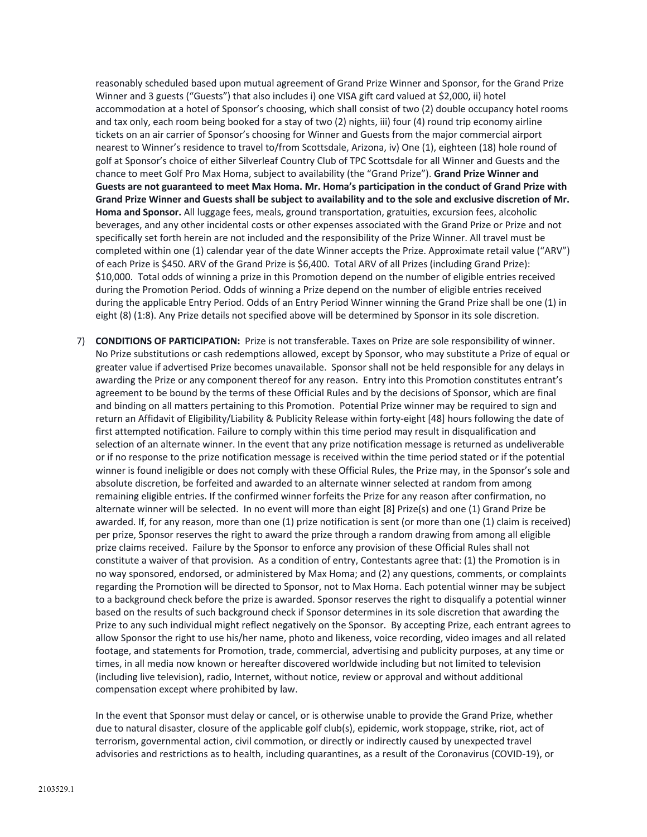reasonably scheduled based upon mutual agreement of Grand Prize Winner and Sponsor, for the Grand Prize Winner and 3 guests ("Guests") that also includes i) one VISA gift card valued at \$2,000, ii) hotel accommodation at a hotel of Sponsor's choosing, which shall consist of two (2) double occupancy hotel rooms and tax only, each room being booked for a stay of two (2) nights, iii) four (4) round trip economy airline tickets on an air carrier of Sponsor's choosing for Winner and Guests from the major commercial airport nearest to Winner's residence to travel to/from Scottsdale, Arizona, iv) One (1), eighteen (18) hole round of golf at Sponsor's choice of either Silverleaf Country Club of TPC Scottsdale for all Winner and Guests and the chance to meet Golf Pro Max Homa, subject to availability (the "Grand Prize"). **Grand Prize Winner and Guests are not guaranteed to meet Max Homa. Mr. Homa's participation in the conduct of Grand Prize with Grand Prize Winner and Guests shall be subject to availability and to the sole and exclusive discretion of Mr. Homa and Sponsor.** All luggage fees, meals, ground transportation, gratuities, excursion fees, alcoholic beverages, and any other incidental costs or other expenses associated with the Grand Prize or Prize and not specifically set forth herein are not included and the responsibility of the Prize Winner. All travel must be completed within one (1) calendar year of the date Winner accepts the Prize. Approximate retail value ("ARV") of each Prize is \$450. ARV of the Grand Prize is \$6,400. Total ARV of all Prizes (including Grand Prize): \$10,000. Total odds of winning a prize in this Promotion depend on the number of eligible entries received during the Promotion Period. Odds of winning a Prize depend on the number of eligible entries received during the applicable Entry Period. Odds of an Entry Period Winner winning the Grand Prize shall be one (1) in eight (8) (1:8). Any Prize details not specified above will be determined by Sponsor in its sole discretion.

7) **CONDITIONS OF PARTICIPATION:** Prize is not transferable. Taxes on Prize are sole responsibility of winner. No Prize substitutions or cash redemptions allowed, except by Sponsor, who may substitute a Prize of equal or greater value if advertised Prize becomes unavailable. Sponsor shall not be held responsible for any delays in awarding the Prize or any component thereof for any reason. Entry into this Promotion constitutes entrant's agreement to be bound by the terms of these Official Rules and by the decisions of Sponsor, which are final and binding on all matters pertaining to this Promotion. Potential Prize winner may be required to sign and return an Affidavit of Eligibility/Liability & Publicity Release within forty-eight [48] hours following the date of first attempted notification. Failure to comply within this time period may result in disqualification and selection of an alternate winner. In the event that any prize notification message is returned as undeliverable or if no response to the prize notification message is received within the time period stated or if the potential winner is found ineligible or does not comply with these Official Rules, the Prize may, in the Sponsor's sole and absolute discretion, be forfeited and awarded to an alternate winner selected at random from among remaining eligible entries. If the confirmed winner forfeits the Prize for any reason after confirmation, no alternate winner will be selected. In no event will more than eight [8] Prize(s) and one (1) Grand Prize be awarded. If, for any reason, more than one (1) prize notification is sent (or more than one (1) claim is received) per prize, Sponsor reserves the right to award the prize through a random drawing from among all eligible prize claims received. Failure by the Sponsor to enforce any provision of these Official Rules shall not constitute a waiver of that provision. As a condition of entry, Contestants agree that: (1) the Promotion is in no way sponsored, endorsed, or administered by Max Homa; and (2) any questions, comments, or complaints regarding the Promotion will be directed to Sponsor, not to Max Homa. Each potential winner may be subject to a background check before the prize is awarded. Sponsor reserves the right to disqualify a potential winner based on the results of such background check if Sponsor determines in its sole discretion that awarding the Prize to any such individual might reflect negatively on the Sponsor. By accepting Prize, each entrant agrees to allow Sponsor the right to use his/her name, photo and likeness, voice recording, video images and all related footage, and statements for Promotion, trade, commercial, advertising and publicity purposes, at any time or times, in all media now known or hereafter discovered worldwide including but not limited to television (including live television), radio, Internet, without notice, review or approval and without additional compensation except where prohibited by law.

In the event that Sponsor must delay or cancel, or is otherwise unable to provide the Grand Prize, whether due to natural disaster, closure of the applicable golf club(s), epidemic, work stoppage, strike, riot, act of terrorism, governmental action, civil commotion, or directly or indirectly caused by unexpected travel advisories and restrictions as to health, including quarantines, as a result of the Coronavirus (COVID-19), or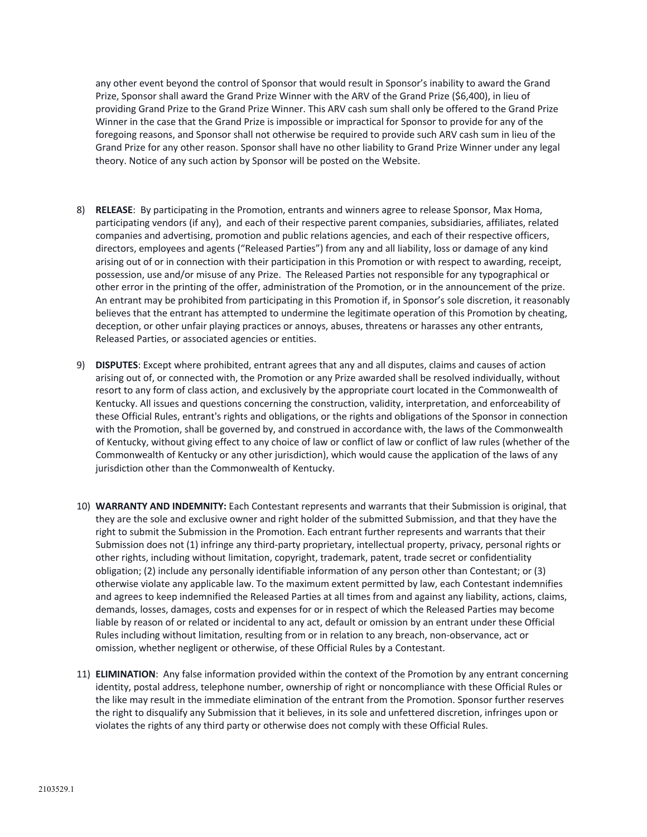any other event beyond the control of Sponsor that would result in Sponsor's inability to award the Grand Prize, Sponsor shall award the Grand Prize Winner with the ARV of the Grand Prize (\$6,400), in lieu of providing Grand Prize to the Grand Prize Winner. This ARV cash sum shall only be offered to the Grand Prize Winner in the case that the Grand Prize is impossible or impractical for Sponsor to provide for any of the foregoing reasons, and Sponsor shall not otherwise be required to provide such ARV cash sum in lieu of the Grand Prize for any other reason. Sponsor shall have no other liability to Grand Prize Winner under any legal theory. Notice of any such action by Sponsor will be posted on the Website.

- 8) **RELEASE**: By participating in the Promotion, entrants and winners agree to release Sponsor, Max Homa, participating vendors (if any), and each of their respective parent companies, subsidiaries, affiliates, related companies and advertising, promotion and public relations agencies, and each of their respective officers, directors, employees and agents ("Released Parties") from any and all liability, loss or damage of any kind arising out of or in connection with their participation in this Promotion or with respect to awarding, receipt, possession, use and/or misuse of any Prize. The Released Parties not responsible for any typographical or other error in the printing of the offer, administration of the Promotion, or in the announcement of the prize. An entrant may be prohibited from participating in this Promotion if, in Sponsor's sole discretion, it reasonably believes that the entrant has attempted to undermine the legitimate operation of this Promotion by cheating, deception, or other unfair playing practices or annoys, abuses, threatens or harasses any other entrants, Released Parties, or associated agencies or entities.
- 9) **DISPUTES**: Except where prohibited, entrant agrees that any and all disputes, claims and causes of action arising out of, or connected with, the Promotion or any Prize awarded shall be resolved individually, without resort to any form of class action, and exclusively by the appropriate court located in the Commonwealth of Kentucky. All issues and questions concerning the construction, validity, interpretation, and enforceability of these Official Rules, entrant's rights and obligations, or the rights and obligations of the Sponsor in connection with the Promotion, shall be governed by, and construed in accordance with, the laws of the Commonwealth of Kentucky, without giving effect to any choice of law or conflict of law or conflict of law rules (whether of the Commonwealth of Kentucky or any other jurisdiction), which would cause the application of the laws of any jurisdiction other than the Commonwealth of Kentucky.
- 10) **WARRANTY AND INDEMNITY:** Each Contestant represents and warrants that their Submission is original, that they are the sole and exclusive owner and right holder of the submitted Submission, and that they have the right to submit the Submission in the Promotion. Each entrant further represents and warrants that their Submission does not (1) infringe any third-party proprietary, intellectual property, privacy, personal rights or other rights, including without limitation, copyright, trademark, patent, trade secret or confidentiality obligation; (2) include any personally identifiable information of any person other than Contestant; or (3) otherwise violate any applicable law. To the maximum extent permitted by law, each Contestant indemnifies and agrees to keep indemnified the Released Parties at all times from and against any liability, actions, claims, demands, losses, damages, costs and expenses for or in respect of which the Released Parties may become liable by reason of or related or incidental to any act, default or omission by an entrant under these Official Rules including without limitation, resulting from or in relation to any breach, non-observance, act or omission, whether negligent or otherwise, of these Official Rules by a Contestant.
- 11) **ELIMINATION**: Any false information provided within the context of the Promotion by any entrant concerning identity, postal address, telephone number, ownership of right or noncompliance with these Official Rules or the like may result in the immediate elimination of the entrant from the Promotion. Sponsor further reserves the right to disqualify any Submission that it believes, in its sole and unfettered discretion, infringes upon or violates the rights of any third party or otherwise does not comply with these Official Rules.